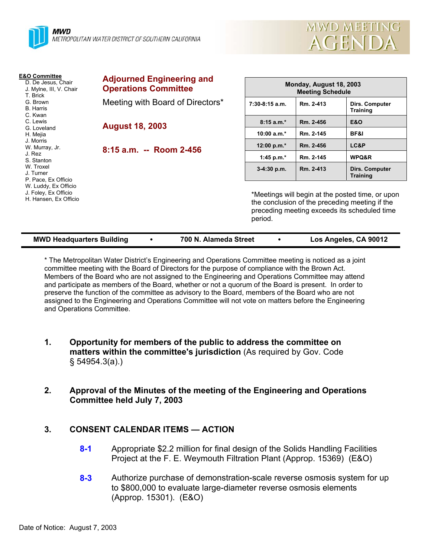

| MWD MEETING |
|-------------|
| AGENDA      |

| <b>E&amp;O Committee</b><br>D. De Jesus, Chair<br>J. Mylne, III, V. Chair<br>T. Brick<br>G. Brown<br><b>B.</b> Harris<br>C. Kwan                                                                         | <b>Adjourned Engineering and</b><br><b>Operations Committee</b> | Monday, August 18, 2003<br><b>Meeting Schedule</b>                                                                                                            |           |                                   |
|----------------------------------------------------------------------------------------------------------------------------------------------------------------------------------------------------------|-----------------------------------------------------------------|---------------------------------------------------------------------------------------------------------------------------------------------------------------|-----------|-----------------------------------|
|                                                                                                                                                                                                          | Meeting with Board of Directors*                                | 7:30-8:15 a.m.                                                                                                                                                | Rm. 2-413 | Dirs. Computer<br>Training        |
| C. Lewis                                                                                                                                                                                                 | <b>August 18, 2003</b>                                          | $8:15a.m.*$                                                                                                                                                   | Rm. 2-456 | <b>E&amp;O</b>                    |
| G. Loveland<br>H. Mejia<br>J. Morris<br>W. Murray, Jr.<br>J. Rez<br>S. Stanton<br>W. Troxel<br>J. Turner<br>P. Pace, Ex Officio<br>W. Luddy, Ex Officio<br>J. Foley, Ex Officio<br>H. Hansen, Ex Officio |                                                                 | $10:00 a.m.*$                                                                                                                                                 | Rm. 2-145 | BF&I                              |
|                                                                                                                                                                                                          | 8:15 a.m. -- Room 2-456                                         | 12:00 p.m.*                                                                                                                                                   | Rm. 2-456 | LC&P                              |
|                                                                                                                                                                                                          |                                                                 | 1:45 p.m. $*$                                                                                                                                                 | Rm. 2-145 | WPQ&R                             |
|                                                                                                                                                                                                          |                                                                 | $3-4:30$ p.m.                                                                                                                                                 | Rm. 2-413 | Dirs. Computer<br><b>Training</b> |
|                                                                                                                                                                                                          |                                                                 | *Meetings will begin at the posted time, or upon<br>the conclusion of the preceding meeting if the<br>preceding meeting exceeds its scheduled time<br>period. |           |                                   |

| <b>MWD Headquarters Building</b> |  | 700 N. Alameda Street |  | Los Angeles, CA 90012 |
|----------------------------------|--|-----------------------|--|-----------------------|
|----------------------------------|--|-----------------------|--|-----------------------|

\* The Metropolitan Water District's Engineering and Operations Committee meeting is noticed as a joint committee meeting with the Board of Directors for the purpose of compliance with the Brown Act. Members of the Board who are not assigned to the Engineering and Operations Committee may attend and participate as members of the Board, whether or not a quorum of the Board is present. In order to preserve the function of the committee as advisory to the Board, members of the Board who are not assigned to the Engineering and Operations Committee will not vote on matters before the Engineering and Operations Committee.

- **1. Opportunity for members of the public to address the committee on matters within the committee's jurisdiction** (As required by Gov. Code § 54954.3(a).)
- **2. Approval of the Minutes of the meeting of the Engineering and Operations Committee held July 7, 2003**

# **3. CONSENT CALENDAR ITEMS — ACTION**

- **8-1** Appropriate \$2.2 million for final design of the Solids Handling Facilities Project at the F. E. Weymouth Filtration Plant (Approp. 15369) (E&O)
- **8-3** Authorize purchase of demonstration-scale reverse osmosis system for up to \$800,000 to evaluate large-diameter reverse osmosis elements (Approp. 15301). (E&O)